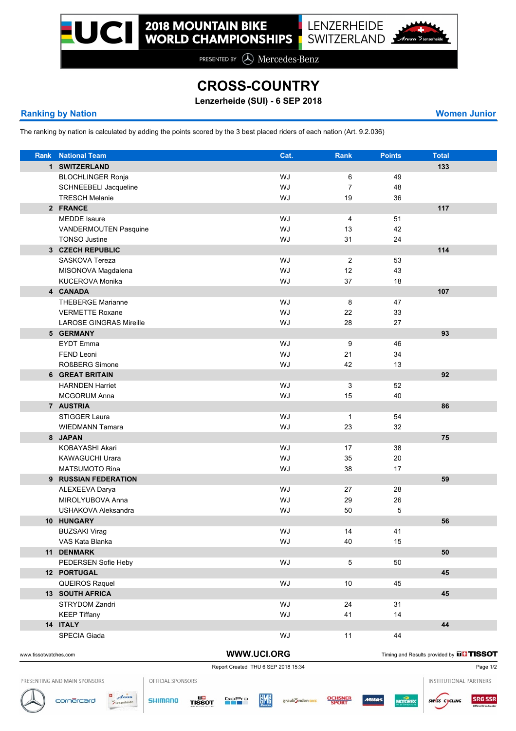PRESENTED BY  $\bigcirc$  Mercedes-Benz

## **CROSS-COUNTRY**

**Lenzerheide (SUI) - 6 SEP 2018**

## **Ranking by Nation Women Junior**

The ranking by nation is calculated by adding the points scored by the 3 best placed riders of each nation (Art. 9.2.036)

| Rank | <b>National Team</b>           | Cat. | Rank           | <b>Points</b> | <b>Total</b> |  |
|------|--------------------------------|------|----------------|---------------|--------------|--|
|      | 1 SWITZERLAND                  |      |                |               | 133          |  |
|      | <b>BLOCHLINGER Ronja</b>       | WJ   | 6              | 49            |              |  |
|      | SCHNEEBELI Jacqueline          | WJ   | $\overline{7}$ | 48            |              |  |
|      | <b>TRESCH Melanie</b>          | WJ   | 19             | 36            |              |  |
|      | 2 FRANCE                       |      |                |               | 117          |  |
|      | <b>MEDDE</b> Isaure            | WJ   | 4              | 51            |              |  |
|      | VANDERMOUTEN Pasquine          | WJ   | 13             | 42            |              |  |
|      | <b>TONSO Justine</b>           | WJ   | 31             | 24            |              |  |
|      | 3 CZECH REPUBLIC               |      |                |               | 114          |  |
|      | SASKOVA Tereza                 | WJ   | 2              | 53            |              |  |
|      | MISONOVA Magdalena             | WJ   | 12             | 43            |              |  |
|      | <b>KUCEROVA Monika</b>         | WJ   | 37             | 18            |              |  |
|      | 4 CANADA                       |      |                |               | 107          |  |
|      | <b>THEBERGE Marianne</b>       | WJ   | 8              | 47            |              |  |
|      | <b>VERMETTE Roxane</b>         | WJ   | 22             | 33            |              |  |
|      | <b>LAROSE GINGRAS Mireille</b> | WJ   | 28             | 27            |              |  |
|      | 5 GERMANY                      |      |                |               | 93           |  |
|      | <b>EYDT</b> Emma               | WJ   | 9              | 46            |              |  |
|      | <b>FEND Leoni</b>              | WJ   | 21             | 34            |              |  |
|      | <b>ROßBERG Simone</b>          | WJ   | 42             | 13            |              |  |
|      | 6 GREAT BRITAIN                |      |                |               | 92           |  |
|      | <b>HARNDEN Harriet</b>         | WJ   | 3              | 52            |              |  |
|      | <b>MCGORUM Anna</b>            | WJ   | 15             | 40            |              |  |
|      | 7 AUSTRIA                      |      |                |               | 86           |  |
|      | <b>STIGGER Laura</b>           | WJ   | $\mathbf{1}$   | 54            |              |  |
|      | <b>WIEDMANN Tamara</b>         | WJ   | 23             | 32            |              |  |
|      |                                |      |                |               |              |  |
|      | 8 JAPAN                        |      |                |               | 75           |  |
|      | KOBAYASHI Akari                | WJ   | 17             | 38            |              |  |
|      | <b>KAWAGUCHI Urara</b>         | WJ   | 35             | 20            |              |  |
|      | <b>MATSUMOTO Rina</b>          | WJ   | 38             | 17            |              |  |
|      | 9 RUSSIAN FEDERATION           |      |                |               | 59           |  |
|      | ALEXEEVA Darya                 | WJ   | 27             | 28            |              |  |
|      | MIROLYUBOVA Anna               | WJ   | 29             | 26            |              |  |
|      | USHAKOVA Aleksandra            | WJ   | 50             | 5             |              |  |
|      | 10 HUNGARY                     |      |                |               | 56           |  |
|      | <b>BUZSAKI Virag</b>           | WJ   | 14             | 41            |              |  |
|      | VAS Kata Blanka                | WJ   | 40             | 15            |              |  |
|      | 11 DENMARK                     |      |                |               | 50           |  |
|      | PEDERSEN Sofie Heby            | WJ   | $\overline{5}$ | 50            |              |  |
|      | 12 PORTUGAL                    |      |                |               | 45           |  |
|      | QUEIROS Raquel                 | WJ   | 10             | 45            |              |  |
|      | <b>13 SOUTH AFRICA</b>         |      |                |               | 45           |  |
|      | STRYDOM Zandri                 | WJ   | 24             | 31            |              |  |
|      | <b>KEEP Tiffany</b>            | WJ   | 41             | 14            |              |  |
|      | 14 ITALY                       |      |                |               | 44           |  |
|      | SPECIA Giada                   | WJ   | 11             | 44            |              |  |
|      |                                |      |                |               |              |  |

WWW.UCI.ORG Timing and Results provided by **THISSOT** 

Report Created THU 6 SEP 2018 15:34

PRESENTING AND MAIN SPONSORS

OFFICIAL SPONSORS













**SRG SSR** sw/ss cycling

INSTITUTIONAL PARTNERS